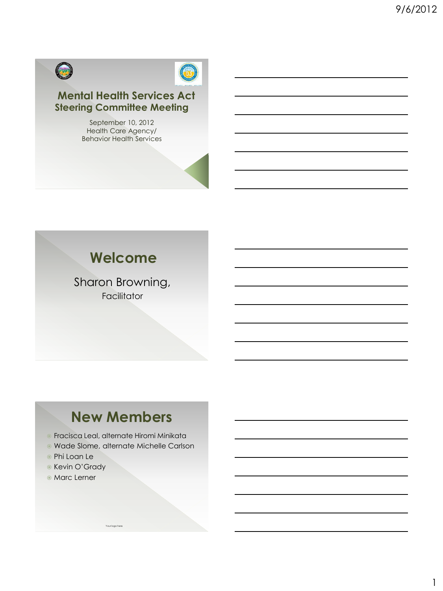



### **Mental Health Services Act Steering Committee Meeting**

September 10, 2012 Health Care Agency/ Behavior Health Services

## **Welcome**

Sharon Browning, Facilitator

## **New Members**

Fracisca Leal, alternate Hiromi Minikata

Your logo here

- Wade Slome, alternate Michelle Carlson
- Phi Loan Le
- **Kevin O'Grady**
- **Marc Lerner**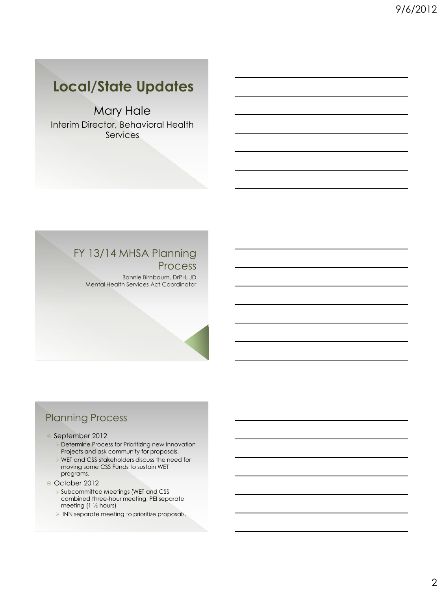## **Local/State Updates**

Mary Hale Interim Director, Behavioral Health Services

#### FY 13/14 MHSA Planning Process

Bonnie Birnbaum, DrPH, JD Mental Health Services Act Coordinator

### Planning Process

#### September 2012

- **>** Determine Process for Prioritizing new Innovation Projects and ask community for proposals.
- WET and CSS stakeholders discuss the need for moving some CSS Funds to sustain WET programs.
- October 2012
	- Subcommittee Meetings (WET and CSS combined three-hour meeting, PEI separate meeting (1 ½ hours)
	- INN separate meeting to prioritize proposals.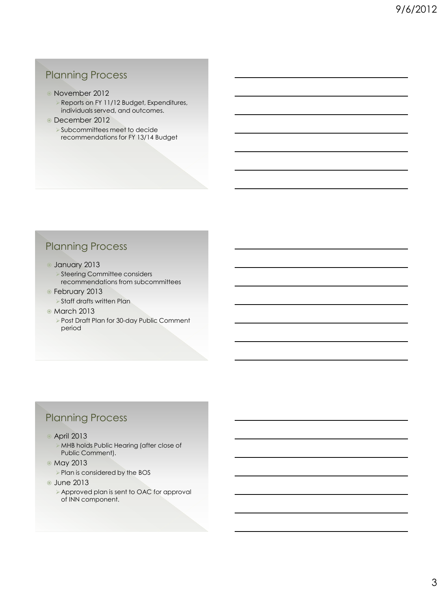### Planning Process

- November 2012
	- Reports on FY 11/12 Budget, Expenditures, individuals served, and outcomes.
- December 2012
	- Subcommittees meet to decide recommendations for FY 13/14 Budget

### Planning Process

- January 2013
	- ▶ Steering Committee considers recommendations from subcommittees
- February 2013
	- Staff drafts written Plan
- March 2013
	- Post Draft Plan for 30-day Public Comment period

### Planning Process

- April 2013
	- MHB holds Public Hearing (after close of Public Comment).
- May 2013
	- ▶ Plan is considered by the BOS
- **June 2013** 
	- Approved plan is sent to OAC for approval of INN component.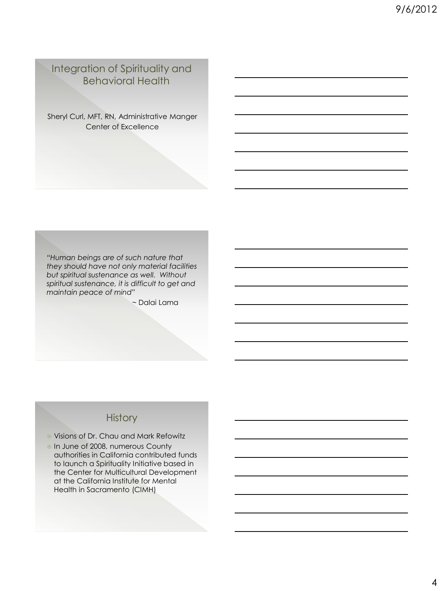#### Integration of Spirituality and Behavioral Health

Sheryl Curl, MFT, RN, Administrative Manger Center of Excellence

*"Human beings are of such nature that they should have not only material facilities but spiritual sustenance as well. Without spiritual sustenance, it is difficult to get and maintain peace of mind"*

~ Dalai Lama

### **History**

- Visions of Dr. Chau and Mark Refowitz
- In June of 2008, numerous County authorities in California contributed funds to launch a Spirituality Initiative based in the Center for Multicultural Development at the California Institute for Mental Health in Sacramento (CIMH)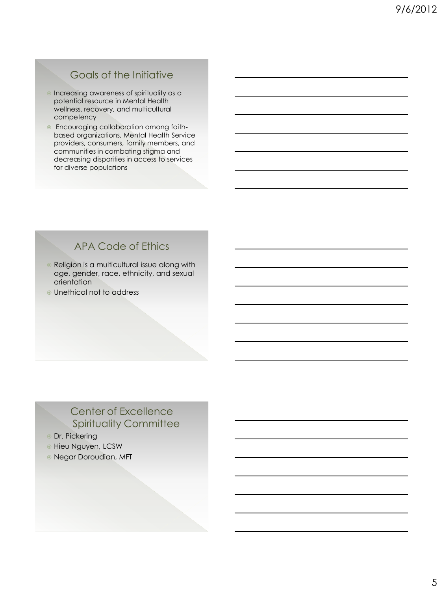### Goals of the Initiative

- **Increasing awareness of spirituality as a** potential resource in Mental Health wellness, recovery, and multicultural competency
- Encouraging collaboration among faithbased organizations, Mental Health Service providers, consumers, family members, and communities in combating stigma and decreasing disparities in access to services for diverse populations

### APA Code of Ethics

- **Religion is a multicultural issue along with** age, gender, race, ethnicity, and sexual orientation
- Unethical not to address

#### Center of Excellence Spirituality Committee

- **Dr. Pickering**
- **Hieu Nguyen, LCSW**
- Negar Doroudian, MFT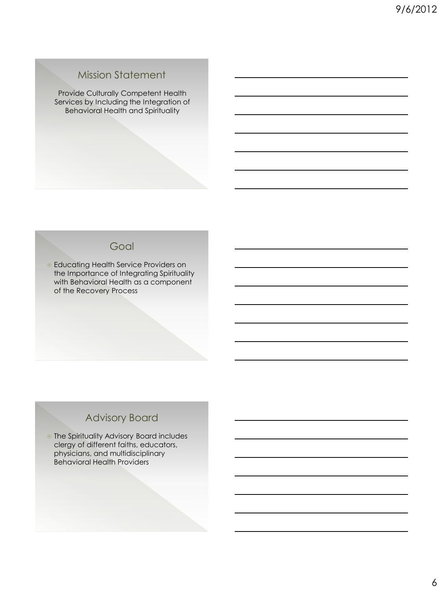#### Mission Statement

Provide Culturally Competent Health Services by Including the Integration of Behavioral Health and Spirituality

#### **Goal**

**Educating Health Service Providers on** the Importance of Integrating Spirituality with Behavioral Health as a component of the Recovery Process

### Advisory Board

 The Spirituality Advisory Board includes clergy of different faiths, educators, physicians, and multidisciplinary Behavioral Health Providers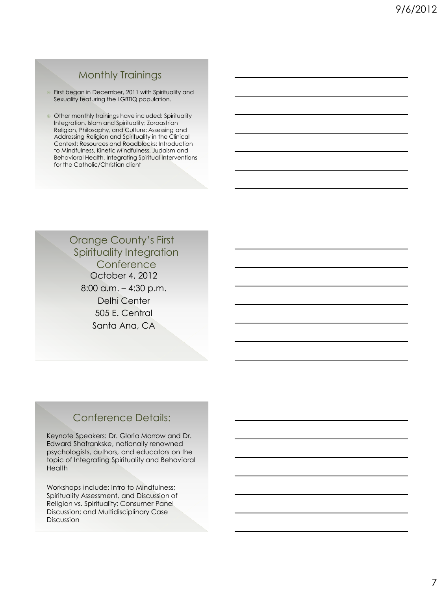### Monthly Trainings

**First began in December, 2011 with Spirituality and** Sexuality featuring the LGBTIQ population.

**Other monthly trainings have included: Spirituality** Integration, Islam and Spirituality; Zoroastrian Religion, Philosophy, and Culture; Assessing and Addressing Religion and Spirituality in the Clinical Context: Resources and Roadblocks; Introduction to Mindfulness, Kinetic Mindfulness, Judaism and Behavioral Health, Integrating Spiritual Interventions for the Catholic/Christian client

> October 4, 2012 8:00 a.m. – 4:30 p.m. Delhi Center 505 E. Central Santa Ana, CA Orange County's First Spirituality Integration **Conference**

#### Conference Details:

Keynote Speakers: Dr. Gloria Morrow and Dr. Edward Shafrankske, nationally renowned psychologists, authors, and educators on the topic of Integrating Spirituality and Behavioral **Health** 

Workshops include: Intro to Mindfulness; Spirituality Assessment, and Discussion of Religion vs. Spirituality; Consumer Panel Discussion; and Multidisciplinary Case Discussion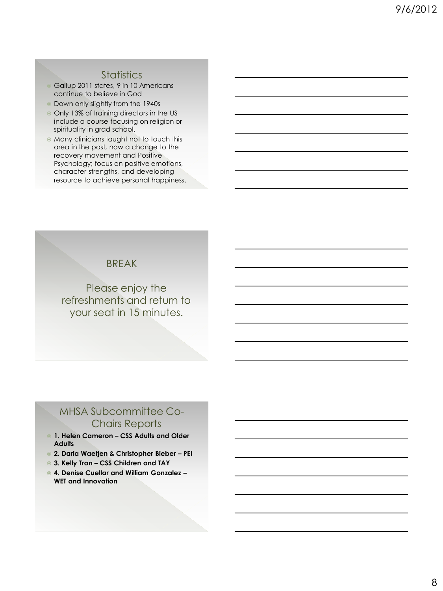#### **Statistics**

- Gallup 2011 states, 9 in 10 Americans continue to believe in God
- Down only slightly from the 1940s
- Only 13% of training directors in the US include a course focusing on religion or spirituality in grad school.
- Many clinicians taught not to touch this area in the past, now a change to the recovery movement and Positive Psychology; focus on positive emotions, character strengths, and developing resource to achieve personal happiness.

#### BREAK

Please enjoy the refreshments and return to your seat in 15 minutes.

#### MHSA Subcommittee Co-Chairs Reports

- **1. Helen Cameron – CSS Adults and Older Adults**
- **2. Daria Waetjen & Christopher Bieber – PEI**
- **3. Kelly Tran – CSS Children and TAY**
- **4. Denise Cuellar and William Gonzalez – WET and Innovation**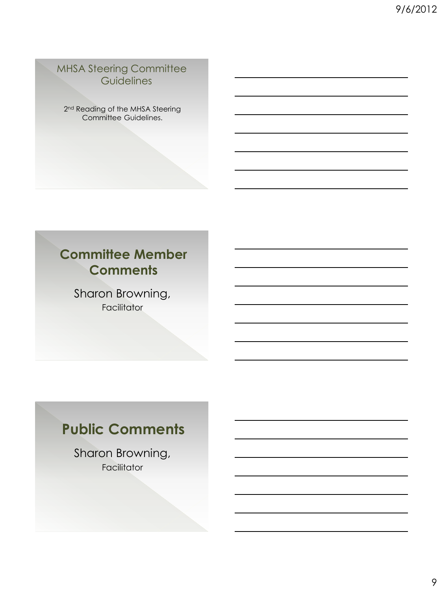#### MHSA Steering Committee **Guidelines**

2<sup>nd</sup> Reading of the MHSA Steering Committee Guidelines.

## **Committee Member Comments**

Sharon Browning, Facilitator

# **Public Comments**

Sharon Browning, Facilitator